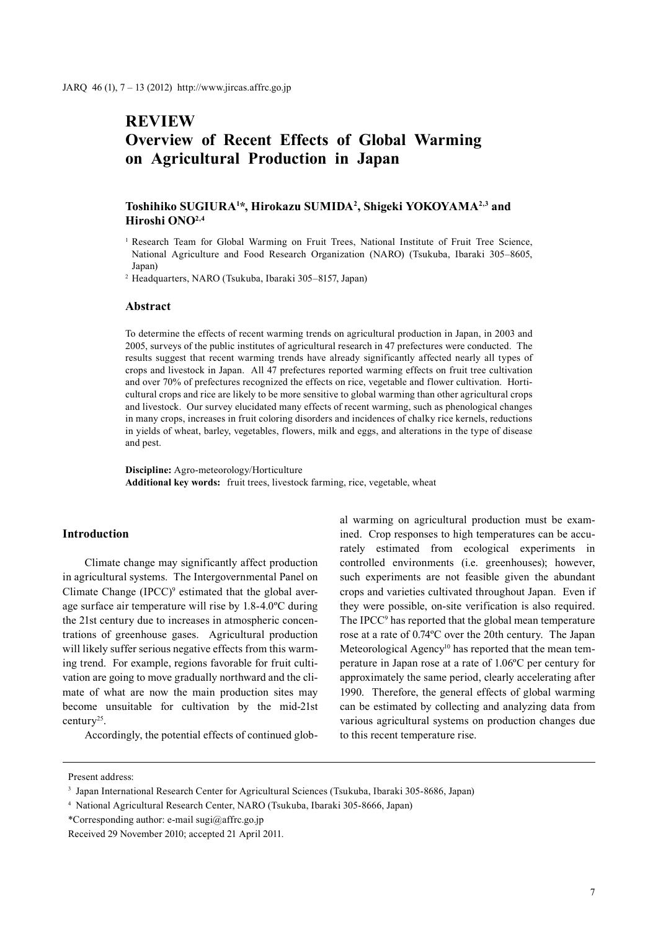# **REVIEW Overview of Recent Effects of Global Warming on Agricultural Production in Japan**

# **Toshihiko SUGIURA1 \*, Hirokazu SUMIDA2 , Shigeki YOKOYAMA2,3 and Hiroshi ONO2,4**

<sup>1</sup> Research Team for Global Warming on Fruit Trees, National Institute of Fruit Tree Science, National Agriculture and Food Research Organization (NARO) (Tsukuba, Ibaraki 305–8605, Japan)

<sup>2</sup> Headquarters, NARO (Tsukuba, Ibaraki 305–8157, Japan)

## **Abstract**

To determine the effects of recent warming trends on agricultural production in Japan, in 2003 and 2005, surveys of the public institutes of agricultural research in 47 prefectures were conducted. The results suggest that recent warming trends have already significantly affected nearly all types of crops and livestock in Japan. All 47 prefectures reported warming effects on fruit tree cultivation and over 70% of prefectures recognized the effects on rice, vegetable and flower cultivation. Horticultural crops and rice are likely to be more sensitive to global warming than other agricultural crops and livestock. Our survey elucidated many effects of recent warming, such as phenological changes in many crops, increases in fruit coloring disorders and incidences of chalky rice kernels, reductions in yields of wheat, barley, vegetables, flowers, milk and eggs, and alterations in the type of disease and pest.

**Discipline:** Agro-meteorology/Horticulture **Additional key words:** fruit trees, livestock farming, rice, vegetable, wheat

## **Introduction**

Climate change may significantly affect production in agricultural systems. The Intergovernmental Panel on Climate Change  $(IPCC)^9$  estimated that the global average surface air temperature will rise by 1.8-4.0ºC during the 21st century due to increases in atmospheric concentrations of greenhouse gases. Agricultural production will likely suffer serious negative effects from this warming trend. For example, regions favorable for fruit cultivation are going to move gradually northward and the climate of what are now the main production sites may become unsuitable for cultivation by the mid-21st century25.

Accordingly, the potential effects of continued glob-

al warming on agricultural production must be examined. Crop responses to high temperatures can be accurately estimated from ecological experiments in controlled environments (i.e. greenhouses); however, such experiments are not feasible given the abundant crops and varieties cultivated throughout Japan. Even if they were possible, on-site verification is also required. The IPCC<sup>9</sup> has reported that the global mean temperature rose at a rate of 0.74ºC over the 20th century. The Japan Meteorological Agency<sup>10</sup> has reported that the mean temperature in Japan rose at a rate of 1.06ºC per century for approximately the same period, clearly accelerating after 1990. Therefore, the general effects of global warming can be estimated by collecting and analyzing data from various agricultural systems on production changes due to this recent temperature rise.

Present address:

<sup>3</sup> Japan International Research Center for Agricultural Sciences (Tsukuba, Ibaraki 305-8686, Japan)

<sup>4</sup> National Agricultural Research Center, NARO (Tsukuba, Ibaraki 305-8666, Japan)

<sup>\*</sup>Corresponding author: e-mail sugi@affrc.go.jp

Received 29 November 2010; accepted 21 April 2011.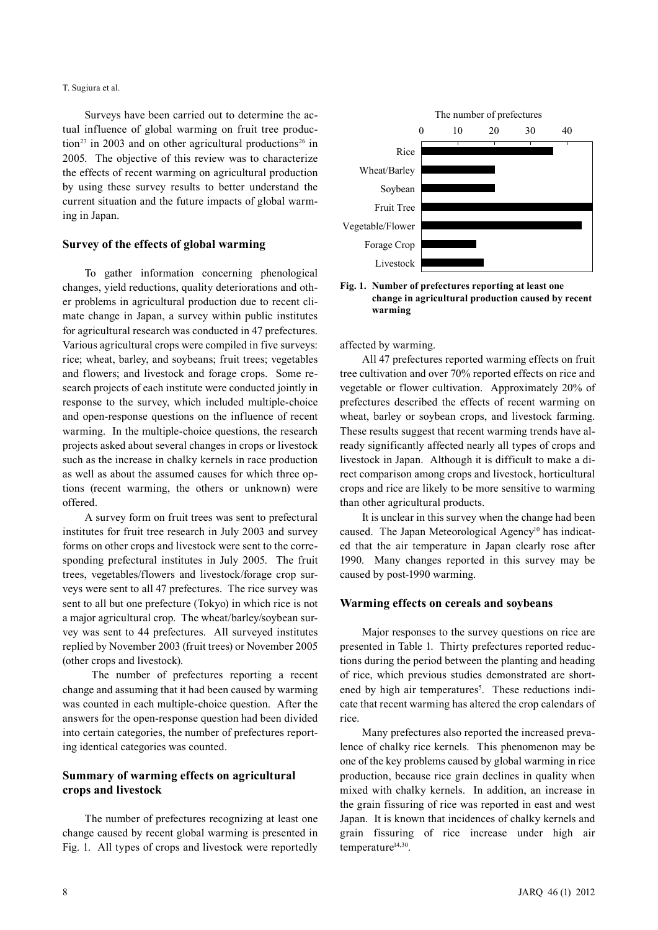#### T. Sugiura et al.

Surveys have been carried out to determine the actual influence of global warming on fruit tree production<sup>27</sup> in 2003 and on other agricultural productions<sup>26</sup> in 2005. The objective of this review was to characterize the effects of recent warming on agricultural production by using these survey results to better understand the current situation and the future impacts of global warming in Japan.

### **Survey of the effects of global warming**

To gather information concerning phenological changes, yield reductions, quality deteriorations and other problems in agricultural production due to recent climate change in Japan, a survey within public institutes for agricultural research was conducted in 47 prefectures. Various agricultural crops were compiled in five surveys: rice; wheat, barley, and soybeans; fruit trees; vegetables and flowers; and livestock and forage crops. Some research projects of each institute were conducted jointly in response to the survey, which included multiple-choice and open-response questions on the influence of recent warming. In the multiple-choice questions, the research projects asked about several changes in crops or livestock such as the increase in chalky kernels in race production as well as about the assumed causes for which three options (recent warming, the others or unknown) were offered.

A survey form on fruit trees was sent to prefectural institutes for fruit tree research in July 2003 and survey forms on other crops and livestock were sent to the corresponding prefectural institutes in July 2005. The fruit trees, vegetables/flowers and livestock/forage crop surveys were sent to all 47 prefectures. The rice survey was sent to all but one prefecture (Tokyo) in which rice is not a major agricultural crop. The wheat/barley/soybean survey was sent to 44 prefectures. All surveyed institutes replied by November 2003 (fruit trees) or November 2005 (other crops and livestock).

The number of prefectures reporting a recent change and assuming that it had been caused by warming was counted in each multiple-choice question. After the answers for the open-response question had been divided into certain categories, the number of prefectures reporting identical categories was counted.

# **Summary of warming effects on agricultural crops and livestock**

The number of prefectures recognizing at least one change caused by recent global warming is presented in Fig. 1. All types of crops and livestock were reportedly



**Fig. 1. Number of prefectures reporting at least one change in agricultural production caused by recent warming**

affected by warming.

All 47 prefectures reported warming effects on fruit tree cultivation and over 70% reported effects on rice and vegetable or flower cultivation. Approximately 20% of prefectures described the effects of recent warming on wheat, barley or soybean crops, and livestock farming. These results suggest that recent warming trends have already significantly affected nearly all types of crops and livestock in Japan. Although it is difficult to make a direct comparison among crops and livestock, horticultural crops and rice are likely to be more sensitive to warming than other agricultural products.

It is unclear in this survey when the change had been caused. The Japan Meteorological Agency<sup>10</sup> has indicated that the air temperature in Japan clearly rose after 1990. Many changes reported in this survey may be caused by post-1990 warming.

#### **Warming effects on cereals and soybeans**

Major responses to the survey questions on rice are presented in Table 1. Thirty prefectures reported reductions during the period between the planting and heading of rice, which previous studies demonstrated are shortened by high air temperatures<sup>5</sup>. These reductions indicate that recent warming has altered the crop calendars of rice.

Many prefectures also reported the increased prevalence of chalky rice kernels. This phenomenon may be one of the key problems caused by global warming in rice production, because rice grain declines in quality when mixed with chalky kernels. In addition, an increase in the grain fissuring of rice was reported in east and west Japan. It is known that incidences of chalky kernels and grain fissuring of rice increase under high air temperature<sup>14,30</sup>.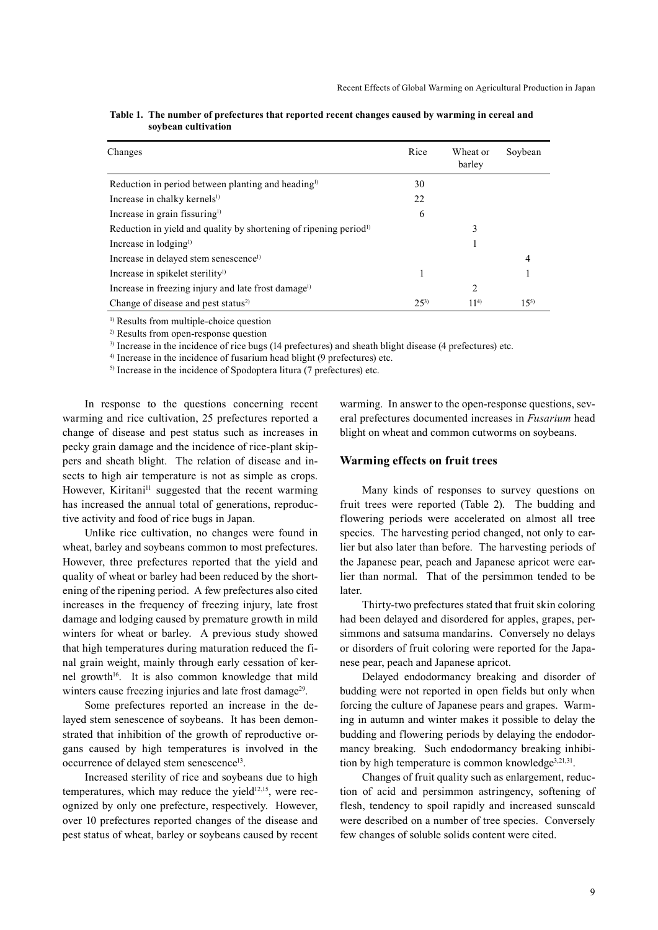| Changes                                                                       | Rice     | Wheat or<br>barley | Soybean  |
|-------------------------------------------------------------------------------|----------|--------------------|----------|
| Reduction in period between planting and heading <sup>1)</sup>                | 30       |                    |          |
| Increase in chalky kernels <sup>1)</sup>                                      | 22       |                    |          |
| Increase in grain fissuring <sup>1)</sup>                                     | 6        |                    |          |
| Reduction in yield and quality by shortening of ripening period <sup>1)</sup> |          | 3                  |          |
| Increase in lodging <sup>1)</sup>                                             |          |                    |          |
| Increase in delayed stem senescence <sup>1)</sup>                             |          |                    | 4        |
| Increase in spikelet sterility $\psi$                                         |          |                    |          |
| Increase in freezing injury and late frost damage <sup>1)</sup>               |          | 2                  |          |
| Change of disease and pest status <sup>2)</sup>                               | $25^{3}$ | $11^{4}$           | $15^{5}$ |

| Table 1. The number of prefectures that reported recent changes caused by warming in cereal and |
|-------------------------------------------------------------------------------------------------|
| soybean cultivation                                                                             |

<sup>1)</sup> Results from multiple-choice question

2) Results from open-response question

3) Increase in the incidence of rice bugs (14 prefectures) and sheath blight disease (4 prefectures) etc.

4) Increase in the incidence of fusarium head blight (9 prefectures) etc.

5) Increase in the incidence of Spodoptera litura (7 prefectures) etc.

In response to the questions concerning recent warming and rice cultivation, 25 prefectures reported a change of disease and pest status such as increases in pecky grain damage and the incidence of rice-plant skippers and sheath blight. The relation of disease and insects to high air temperature is not as simple as crops. However, Kiritani<sup>11</sup> suggested that the recent warming has increased the annual total of generations, reproductive activity and food of rice bugs in Japan.

Unlike rice cultivation, no changes were found in wheat, barley and soybeans common to most prefectures. However, three prefectures reported that the yield and quality of wheat or barley had been reduced by the shortening of the ripening period. A few prefectures also cited increases in the frequency of freezing injury, late frost damage and lodging caused by premature growth in mild winters for wheat or barley. A previous study showed that high temperatures during maturation reduced the final grain weight, mainly through early cessation of kernel growth<sup>16</sup>. It is also common knowledge that mild winters cause freezing injuries and late frost damage<sup>29</sup>.

Some prefectures reported an increase in the delayed stem senescence of soybeans. It has been demonstrated that inhibition of the growth of reproductive organs caused by high temperatures is involved in the occurrence of delayed stem senescence<sup>13</sup>.

Increased sterility of rice and soybeans due to high temperatures, which may reduce the yield $12,15$ , were recognized by only one prefecture, respectively. However, over 10 prefectures reported changes of the disease and pest status of wheat, barley or soybeans caused by recent warming. In answer to the open-response questions, several prefectures documented increases in *Fusarium* head blight on wheat and common cutworms on soybeans.

#### **Warming effects on fruit trees**

Many kinds of responses to survey questions on fruit trees were reported (Table 2). The budding and flowering periods were accelerated on almost all tree species. The harvesting period changed, not only to earlier but also later than before. The harvesting periods of the Japanese pear, peach and Japanese apricot were earlier than normal. That of the persimmon tended to be later.

Thirty-two prefectures stated that fruit skin coloring had been delayed and disordered for apples, grapes, persimmons and satsuma mandarins. Conversely no delays or disorders of fruit coloring were reported for the Japanese pear, peach and Japanese apricot.

Delayed endodormancy breaking and disorder of budding were not reported in open fields but only when forcing the culture of Japanese pears and grapes. Warming in autumn and winter makes it possible to delay the budding and flowering periods by delaying the endodormancy breaking. Such endodormancy breaking inhibition by high temperature is common knowledge $3,21,31$ .

Changes of fruit quality such as enlargement, reduction of acid and persimmon astringency, softening of flesh, tendency to spoil rapidly and increased sunscald were described on a number of tree species. Conversely few changes of soluble solids content were cited.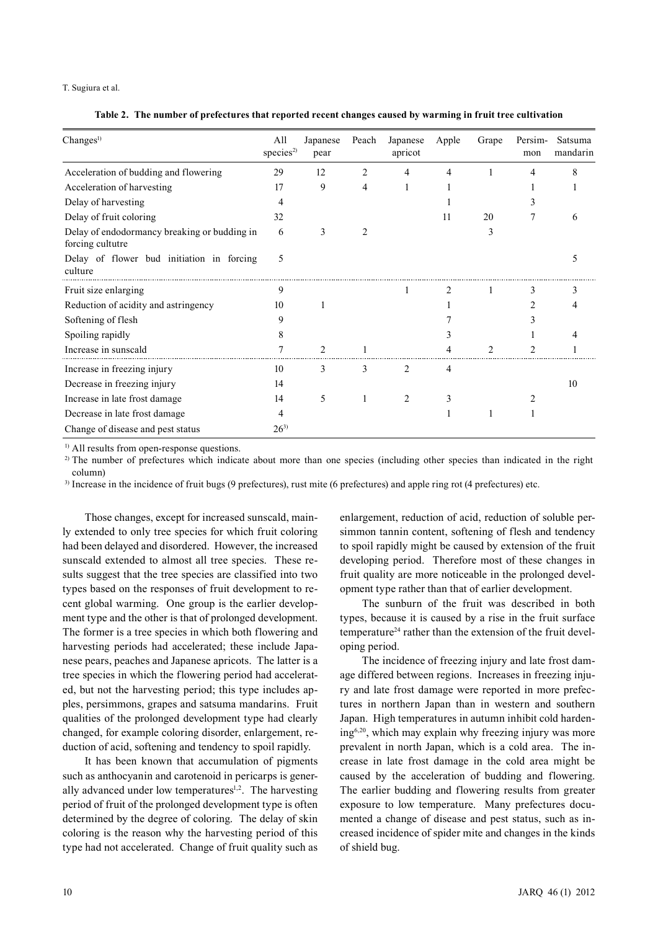#### T. Sugiura et al.

**Table 2. The number of prefectures that reported recent changes caused by warming in fruit tree cultivation**

| Change <sup>1</sup>                                              | All<br>species <sup>2)</sup> | Japanese<br>pear | Peach | Japanese<br>apricot | Apple          | Grape | Persim-<br>mon | Satsuma<br>mandarin |
|------------------------------------------------------------------|------------------------------|------------------|-------|---------------------|----------------|-------|----------------|---------------------|
| Acceleration of budding and flowering                            | 29                           | 12               | 2     | 4                   | 4              |       | 4              | 8                   |
| Acceleration of harvesting                                       | 17                           | 9                | 4     |                     |                |       |                |                     |
| Delay of harvesting                                              | 4                            |                  |       |                     |                |       |                |                     |
| Delay of fruit coloring                                          | 32                           |                  |       |                     | 11             | 20    |                |                     |
| Delay of endodormancy breaking or budding in<br>forcing cultutre | 6                            | 3                |       |                     |                | 3     |                |                     |
| Delay of flower bud initiation in forcing<br>culture             | 5                            |                  |       |                     |                |       |                |                     |
| Fruit size enlarging                                             | 9                            |                  |       |                     | $\mathfrak{D}$ |       | 3              |                     |
| Reduction of acidity and astringency                             | 10                           |                  |       |                     |                |       |                |                     |
| Softening of flesh                                               | 9                            |                  |       |                     |                |       |                |                     |
| Spoiling rapidly                                                 | 8                            |                  |       |                     |                |       |                |                     |
| Increase in sunscald                                             |                              | $\mathfrak{D}$   |       |                     |                | っ     | າ              |                     |
| Increase in freezing injury                                      | 10                           | 3                | 3     | 2                   | 4              |       |                |                     |
| Decrease in freezing injury                                      | 14                           |                  |       |                     |                |       |                | 10                  |
| Increase in late frost damage                                    | 14                           | 5                |       | $\overline{c}$      |                |       |                |                     |
| Decrease in late frost damage                                    | 4                            |                  |       |                     |                |       |                |                     |
| Change of disease and pest status                                | $26^{3}$                     |                  |       |                     |                |       |                |                     |

<sup>1)</sup> All results from open-response questions.

<sup>2)</sup> The number of prefectures which indicate about more than one species (including other species than indicated in the right column)

3) Increase in the incidence of fruit bugs (9 prefectures), rust mite (6 prefectures) and apple ring rot (4 prefectures) etc.

Those changes, except for increased sunscald, mainly extended to only tree species for which fruit coloring had been delayed and disordered. However, the increased sunscald extended to almost all tree species. These results suggest that the tree species are classified into two types based on the responses of fruit development to recent global warming. One group is the earlier development type and the other is that of prolonged development. The former is a tree species in which both flowering and harvesting periods had accelerated; these include Japanese pears, peaches and Japanese apricots. The latter is a tree species in which the flowering period had accelerated, but not the harvesting period; this type includes apples, persimmons, grapes and satsuma mandarins. Fruit qualities of the prolonged development type had clearly changed, for example coloring disorder, enlargement, reduction of acid, softening and tendency to spoil rapidly.

It has been known that accumulation of pigments such as anthocyanin and carotenoid in pericarps is generally advanced under low temperatures<sup> $1,2$ </sup>. The harvesting period of fruit of the prolonged development type is often determined by the degree of coloring. The delay of skin coloring is the reason why the harvesting period of this type had not accelerated. Change of fruit quality such as enlargement, reduction of acid, reduction of soluble persimmon tannin content, softening of flesh and tendency to spoil rapidly might be caused by extension of the fruit developing period. Therefore most of these changes in fruit quality are more noticeable in the prolonged development type rather than that of earlier development.

The sunburn of the fruit was described in both types, because it is caused by a rise in the fruit surface temperature<sup>24</sup> rather than the extension of the fruit developing period.

The incidence of freezing injury and late frost damage differed between regions. Increases in freezing injury and late frost damage were reported in more prefectures in northern Japan than in western and southern Japan. High temperatures in autumn inhibit cold hardening6,20, which may explain why freezing injury was more prevalent in north Japan, which is a cold area. The increase in late frost damage in the cold area might be caused by the acceleration of budding and flowering. The earlier budding and flowering results from greater exposure to low temperature. Many prefectures documented a change of disease and pest status, such as increased incidence of spider mite and changes in the kinds of shield bug.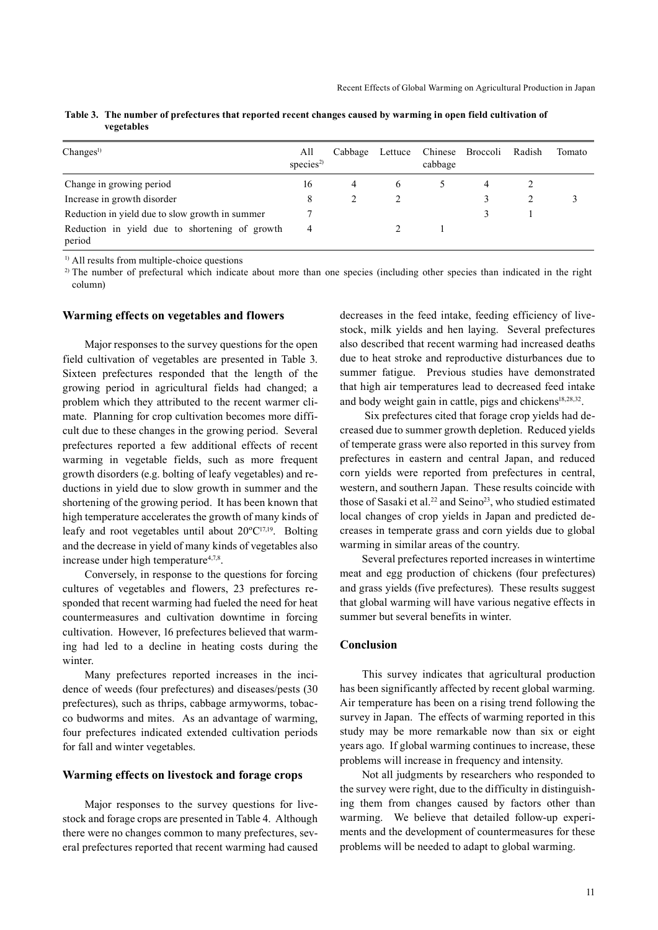| Change <sup>1</sup>                                      | All<br>species <sup>2)</sup> | Cabbage        |   | Lettuce Chinese Broccoli<br>cabbage | Radish | Tomato |
|----------------------------------------------------------|------------------------------|----------------|---|-------------------------------------|--------|--------|
| Change in growing period                                 | 16                           | $\overline{4}$ | 6 |                                     |        |        |
| Increase in growth disorder                              | 8                            |                |   |                                     |        |        |
| Reduction in yield due to slow growth in summer          |                              |                |   |                                     |        |        |
| Reduction in yield due to shortening of growth<br>period | 4                            |                |   |                                     |        |        |

**Table 3. The number of prefectures that reported recent changes caused by warming in open field cultivation of vegetables**

<sup>1)</sup> All results from multiple-choice questions

<sup>2)</sup> The number of prefectural which indicate about more than one species (including other species than indicated in the right column)

#### **Warming effects on vegetables and flowers**

Major responses to the survey questions for the open field cultivation of vegetables are presented in Table 3. Sixteen prefectures responded that the length of the growing period in agricultural fields had changed; a problem which they attributed to the recent warmer climate. Planning for crop cultivation becomes more difficult due to these changes in the growing period. Several prefectures reported a few additional effects of recent warming in vegetable fields, such as more frequent growth disorders (e.g. bolting of leafy vegetables) and reductions in yield due to slow growth in summer and the shortening of the growing period. It has been known that high temperature accelerates the growth of many kinds of leafy and root vegetables until about 20ºC17,19. Bolting and the decrease in yield of many kinds of vegetables also increase under high temperature<sup>4,7,8</sup>.

Conversely, in response to the questions for forcing cultures of vegetables and flowers, 23 prefectures responded that recent warming had fueled the need for heat countermeasures and cultivation downtime in forcing cultivation. However, 16 prefectures believed that warming had led to a decline in heating costs during the winter.

Many prefectures reported increases in the incidence of weeds (four prefectures) and diseases/pests (30 prefectures), such as thrips, cabbage armyworms, tobacco budworms and mites. As an advantage of warming, four prefectures indicated extended cultivation periods for fall and winter vegetables.

#### **Warming effects on livestock and forage crops**

Major responses to the survey questions for livestock and forage crops are presented in Table 4. Although there were no changes common to many prefectures, several prefectures reported that recent warming had caused decreases in the feed intake, feeding efficiency of livestock, milk yields and hen laying. Several prefectures also described that recent warming had increased deaths due to heat stroke and reproductive disturbances due to summer fatigue. Previous studies have demonstrated that high air temperatures lead to decreased feed intake and body weight gain in cattle, pigs and chickens<sup>18,28,32</sup>.

Six prefectures cited that forage crop yields had decreased due to summer growth depletion. Reduced yields of temperate grass were also reported in this survey from prefectures in eastern and central Japan, and reduced corn yields were reported from prefectures in central, western, and southern Japan. These results coincide with those of Sasaki et al.<sup>22</sup> and Seino<sup>23</sup>, who studied estimated local changes of crop yields in Japan and predicted decreases in temperate grass and corn yields due to global warming in similar areas of the country.

Several prefectures reported increases in wintertime meat and egg production of chickens (four prefectures) and grass yields (five prefectures). These results suggest that global warming will have various negative effects in summer but several benefits in winter.

# **Conclusion**

This survey indicates that agricultural production has been significantly affected by recent global warming. Air temperature has been on a rising trend following the survey in Japan. The effects of warming reported in this study may be more remarkable now than six or eight years ago. If global warming continues to increase, these problems will increase in frequency and intensity.

Not all judgments by researchers who responded to the survey were right, due to the difficulty in distinguishing them from changes caused by factors other than warming. We believe that detailed follow-up experiments and the development of countermeasures for these problems will be needed to adapt to global warming.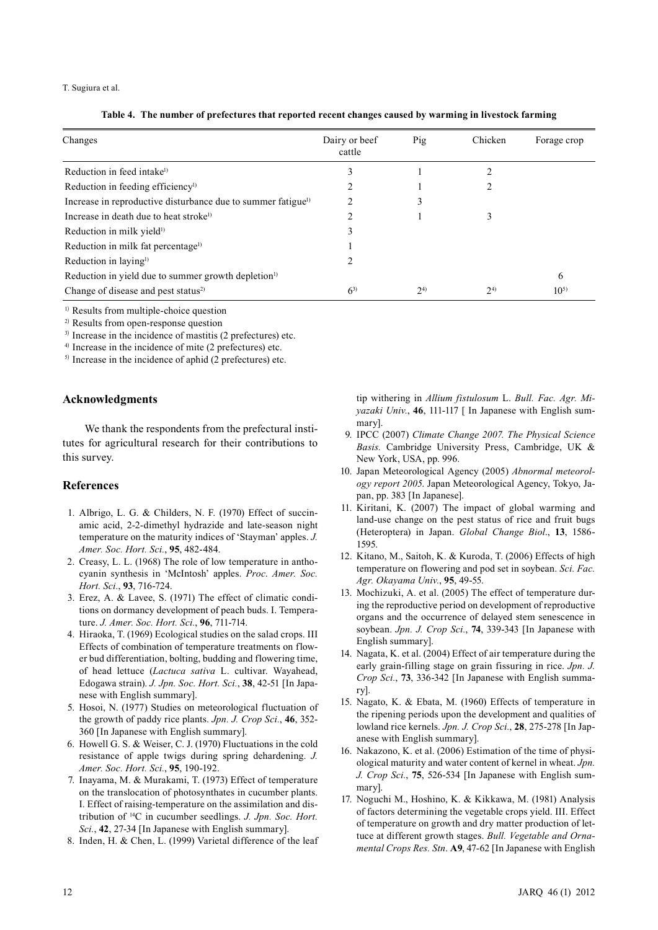#### T. Sugiura et al.

|  | Table 4. The number of prefectures that reported recent changes caused by warming in livestock farming |  |  |  |
|--|--------------------------------------------------------------------------------------------------------|--|--|--|
|  |                                                                                                        |  |  |  |

| Changes                                                                  | Dairy or beef<br>cattle | Pig       | Chicken | Forage crop |
|--------------------------------------------------------------------------|-------------------------|-----------|---------|-------------|
| Reduction in feed intake <sup>1)</sup>                                   | 3                       |           |         |             |
| Reduction in feeding efficiency <sup>1)</sup>                            |                         |           |         |             |
| Increase in reproductive disturbance due to summer fatigue <sup>1)</sup> |                         |           |         |             |
| Increase in death due to heat stroke <sup>1)</sup>                       |                         |           |         |             |
| Reduction in milk yield <sup>1)</sup>                                    |                         |           |         |             |
| Reduction in milk fat percentage <sup>1)</sup>                           |                         |           |         |             |
| Reduction in laying <sup>1)</sup>                                        |                         |           |         |             |
| Reduction in yield due to summer growth depletion <sup>1)</sup>          |                         |           |         | 6           |
| Change of disease and pest status <sup>2)</sup>                          | $6^{3}$                 | $2^{(4)}$ | $2^{4}$ | $10^{5}$    |

<sup>1)</sup> Results from multiple-choice question

<sup>2</sup>) Results from open-response question

<sup>3)</sup> Increase in the incidence of mastitis (2 prefectures) etc.

<sup>4</sup>) Increase in the incidence of mite (2 prefectures) etc.

 $<sup>5)</sup>$  Increase in the incidence of aphid (2 prefectures) etc.</sup>

#### **Acknowledgments**

We thank the respondents from the prefectural institutes for agricultural research for their contributions to this survey.

#### **References**

- 1. Albrigo, L. G. & Childers, N. F. (1970) Effect of succinamic acid, 2-2-dimethyl hydrazide and late-season night temperature on the maturity indices of 'Stayman' apples. *J. Amer. Soc. Hort. Sci.*, **95**, 482-484.
- 2. Creasy, L. L. (1968) The role of low temperature in anthocyanin synthesis in 'McIntosh' apples. *Proc*. *Amer. Soc. Hort. Sci.*, **93**, 716-724.
- 3. Erez, A. & Lavee, S. (1971) The effect of climatic conditions on dormancy development of peach buds. I. Temperature. *J. Amer. Soc. Hort. Sci.*, **96**, 711-714.
- 4. Hiraoka, T. (1969) Ecological studies on the salad crops. III Effects of combination of temperature treatments on flower bud differentiation, bolting, budding and flowering time, of head lettuce (*Lactuca sativa* L. cultivar. Wayahead, Edogawa strain). *J. Jpn. Soc. Hort. Sci.*, **38**, 42-51 [In Japanese with English summary].
- 5. Hosoi, N. (1977) Studies on meteorological fluctuation of the growth of paddy rice plants. *Jpn. J. Crop Sci.*, **46**, 352- 360 [In Japanese with English summary].
- 6. Howell G. S. & Weiser, C. J. (1970) Fluctuations in the cold resistance of apple twigs during spring dehardening. *J. Amer. Soc. Hort. Sci.*, **95**, 190-192.
- 7. Inayama, M. & Murakami, T. (1973) Effect of temperature on the translocation of photosynthates in cucumber plants. I. Effect of raising-temperature on the assimilation and distribution of 14C in cucumber seedlings. *J. Jpn. Soc. Hort. Sci.*, **42**, 27-34 [In Japanese with English summary].
- 8. Inden, H. & Chen, L. (1999) Varietal difference of the leaf

tip withering in *Allium fistulosum* L. *Bull. Fac. Agr. Miyazaki Univ.*, **46**, 111-117 [ In Japanese with English summary].

- 9. IPCC (2007) *Climate Change 2007. The Physical Science Basis.* Cambridge University Press, Cambridge, UK & New York, USA, pp. 996.
- 10. Japan Meteorological Agency (2005) *Abnormal meteorology report 2005*. Japan Meteorological Agency, Tokyo, Japan, pp. 383 [In Japanese].
- 11. Kiritani, K. (2007) The impact of global warming and land-use change on the pest status of rice and fruit bugs (Heteroptera) in Japan. *Global Change Biol*., **13**, 1586- 1595.
- 12. Kitano, M., Saitoh, K. & Kuroda, T. (2006) Effects of high temperature on flowering and pod set in soybean. *Sci. Fac. Agr. Okayama Univ.*, **95**, 49-55.
- 13. Mochizuki, A. et al. (2005) The effect of temperature during the reproductive period on development of reproductive organs and the occurrence of delayed stem senescence in soybean. *Jpn. J. Crop Sci.*, **74**, 339-343 [In Japanese with English summary].
- 14. Nagata, K. et al. (2004) Effect of air temperature during the early grain-filling stage on grain fissuring in rice. *Jpn. J. Crop Sci.*, **73**, 336-342 [In Japanese with English summary].
- 15. Nagato, K. & Ebata, M. (1960) Effects of temperature in the ripening periods upon the development and qualities of lowland rice kernels. *Jpn. J. Crop Sci.*, **28**, 275-278 [In Japanese with English summary].
- 16. Nakazono, K. et al. (2006) Estimation of the time of physiological maturity and water content of kernel in wheat. *Jpn. J. Crop Sci.*, **75**, 526-534 [In Japanese with English summary].
- 17. Noguchi M., Hoshino, K. & Kikkawa, M. (1981) Analysis of factors determining the vegetable crops yield. III. Effect of temperature on growth and dry matter production of lettuce at different growth stages. *Bull. Vegetable and Ornamental Crops Res. Stn*. **A9**, 47-62 [In Japanese with English